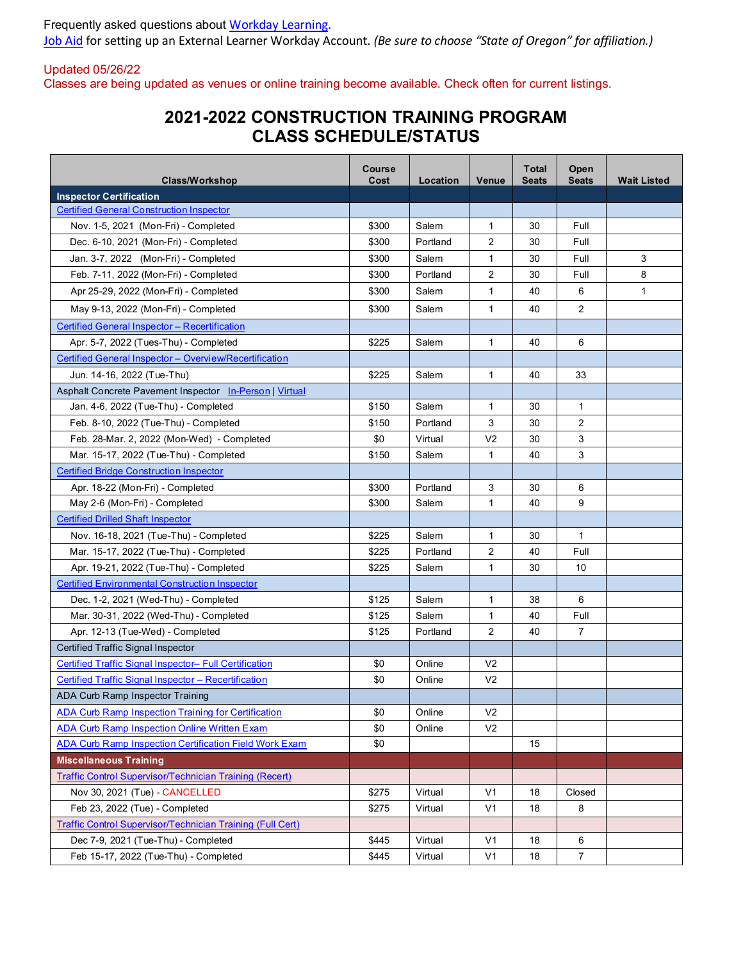Frequently asked questions about [Workday Learning.](https://www.oregon.gov/odot/Business/Pages/LMSSupport.aspx) [Job Aid](https://www.oregon.gov/das/HR/Documents/CreateUpdateEELAccount_JA.pdf) for setting up an External Learner Workday Account. *(Be sure to choose "State of Oregon" for affiliation.)*

Updated 05/26/22 Classes are being updated as venues or online training become available. Check often for current listings.

## **2021-2022 CONSTRUCTION TRAINING PROGRAM CLASS SCHEDULE/STATUS**

| <b>Class/Workshop</b>                                          | Course<br>Cost | Location | <b>Venue</b>   | <b>T</b> otal<br><b>Seats</b> | Open<br><b>Seats</b> | <b>Wait Listed</b> |
|----------------------------------------------------------------|----------------|----------|----------------|-------------------------------|----------------------|--------------------|
| <b>Inspector Certification</b>                                 |                |          |                |                               |                      |                    |
| <b>Certified General Construction Inspector</b>                |                |          |                |                               |                      |                    |
| Nov. 1-5, 2021 (Mon-Fri) - Completed                           | \$300          | Salem    | $\mathbf{1}$   | 30                            | Full                 |                    |
| Dec. 6-10, 2021 (Mon-Fri) - Completed                          | \$300          | Portland | 2              | 30                            | Full                 |                    |
| Jan. 3-7, 2022 (Mon-Fri) - Completed                           | \$300          | Salem    | 1              | 30                            | Full                 | 3                  |
| Feb. 7-11, 2022 (Mon-Fri) - Completed                          | \$300          | Portland | 2              | 30                            | Full                 | 8                  |
| Apr 25-29, 2022 (Mon-Fri) - Completed                          | \$300          | Salem    | $\mathbf{1}$   | 40                            | 6                    | $\mathbf{1}$       |
| May 9-13, 2022 (Mon-Fri) - Completed                           | \$300          | Salem    | 1              | 40                            | 2                    |                    |
| Certified General Inspector - Recertification                  |                |          |                |                               |                      |                    |
| Apr. 5-7, 2022 (Tues-Thu) - Completed                          | \$225          | Salem    | $\mathbf{1}$   | 40                            | 6                    |                    |
| Certified General Inspector - Overview/Recertification         |                |          |                |                               |                      |                    |
| Jun. 14-16, 2022 (Tue-Thu)                                     | \$225          | Salem    | 1              | 40                            | 33                   |                    |
| Asphalt Concrete Pavement Inspector In-Person   Virtual        |                |          |                |                               |                      |                    |
| Jan. 4-6, 2022 (Tue-Thu) - Completed                           | \$150          | Salem    | $\mathbf{1}$   | 30                            | $\mathbf{1}$         |                    |
| Feb. 8-10, 2022 (Tue-Thu) - Completed                          | \$150          | Portland | 3              | 30                            | 2                    |                    |
| Feb. 28-Mar. 2, 2022 (Mon-Wed) - Completed                     | \$0            | Virtual  | V <sub>2</sub> | 30                            | 3                    |                    |
| Mar. 15-17, 2022 (Tue-Thu) - Completed                         | \$150          | Salem    | 1              | 40                            | 3                    |                    |
| <b>Certified Bridge Construction Inspector</b>                 |                |          |                |                               |                      |                    |
| Apr. 18-22 (Mon-Fri) - Completed                               | \$300          | Portland | 3              | 30                            | 6                    |                    |
| May 2-6 (Mon-Fri) - Completed                                  | \$300          | Salem    | 1              | 40                            | 9                    |                    |
| <b>Certified Drilled Shaft Inspector</b>                       |                |          |                |                               |                      |                    |
| Nov. 16-18, 2021 (Tue-Thu) - Completed                         | \$225          | Salem    | 1              | 30                            | $\mathbf{1}$         |                    |
| Mar. 15-17, 2022 (Tue-Thu) - Completed                         | \$225          | Portland | $\overline{2}$ | 40                            | Full                 |                    |
| Apr. 19-21, 2022 (Tue-Thu) - Completed                         | \$225          | Salem    | $\mathbf{1}$   | 30                            | 10                   |                    |
| <b>Certified Environmental Construction Inspector</b>          |                |          |                |                               |                      |                    |
| Dec. 1-2, 2021 (Wed-Thu) - Completed                           | \$125          | Salem    | 1              | 38                            | 6                    |                    |
| Mar. 30-31, 2022 (Wed-Thu) - Completed                         | \$125          | Salem    | 1              | 40                            | Full                 |                    |
| Apr. 12-13 (Tue-Wed) - Completed                               | \$125          | Portland | 2              | 40                            | 7                    |                    |
| Certified Traffic Signal Inspector                             |                |          |                |                               |                      |                    |
| Certified Traffic Signal Inspector- Full Certification         | \$0            | Online   | V <sub>2</sub> |                               |                      |                    |
| Certified Traffic Signal Inspector - Recertification           | \$0            | Online   | V <sub>2</sub> |                               |                      |                    |
| ADA Curb Ramp Inspector Training                               |                |          |                |                               |                      |                    |
| <b>ADA Curb Ramp Inspection Training for Certification</b>     | \$0            | Online   | V <sub>2</sub> |                               |                      |                    |
| <b>ADA Curb Ramp Inspection Online Written Exam</b>            | \$0            | Online   | V <sub>2</sub> |                               |                      |                    |
| ADA Curb Ramp Inspection Certification Field Work Exam         | \$0            |          |                | 15                            |                      |                    |
| <b>Miscellaneous Training</b>                                  |                |          |                |                               |                      |                    |
| <b>Traffic Control Supervisor/Technician Training (Recert)</b> |                |          |                |                               |                      |                    |
| Nov 30, 2021 (Tue) - CANCELLED                                 | \$275          | Virtual  | V <sub>1</sub> | 18                            | Closed               |                    |
| Feb 23, 2022 (Tue) - Completed                                 | \$275          | Virtual  | V <sub>1</sub> | 18                            | 8                    |                    |
| Traffic Control Supervisor/Technician Training (Full Cert)     |                |          |                |                               |                      |                    |
| Dec 7-9, 2021 (Tue-Thu) - Completed                            | \$445          | Virtual  | V <sub>1</sub> | 18                            | 6                    |                    |
| Feb 15-17, 2022 (Tue-Thu) - Completed                          | \$445          | Virtual  | V <sub>1</sub> | 18                            | $\overline{7}$       |                    |